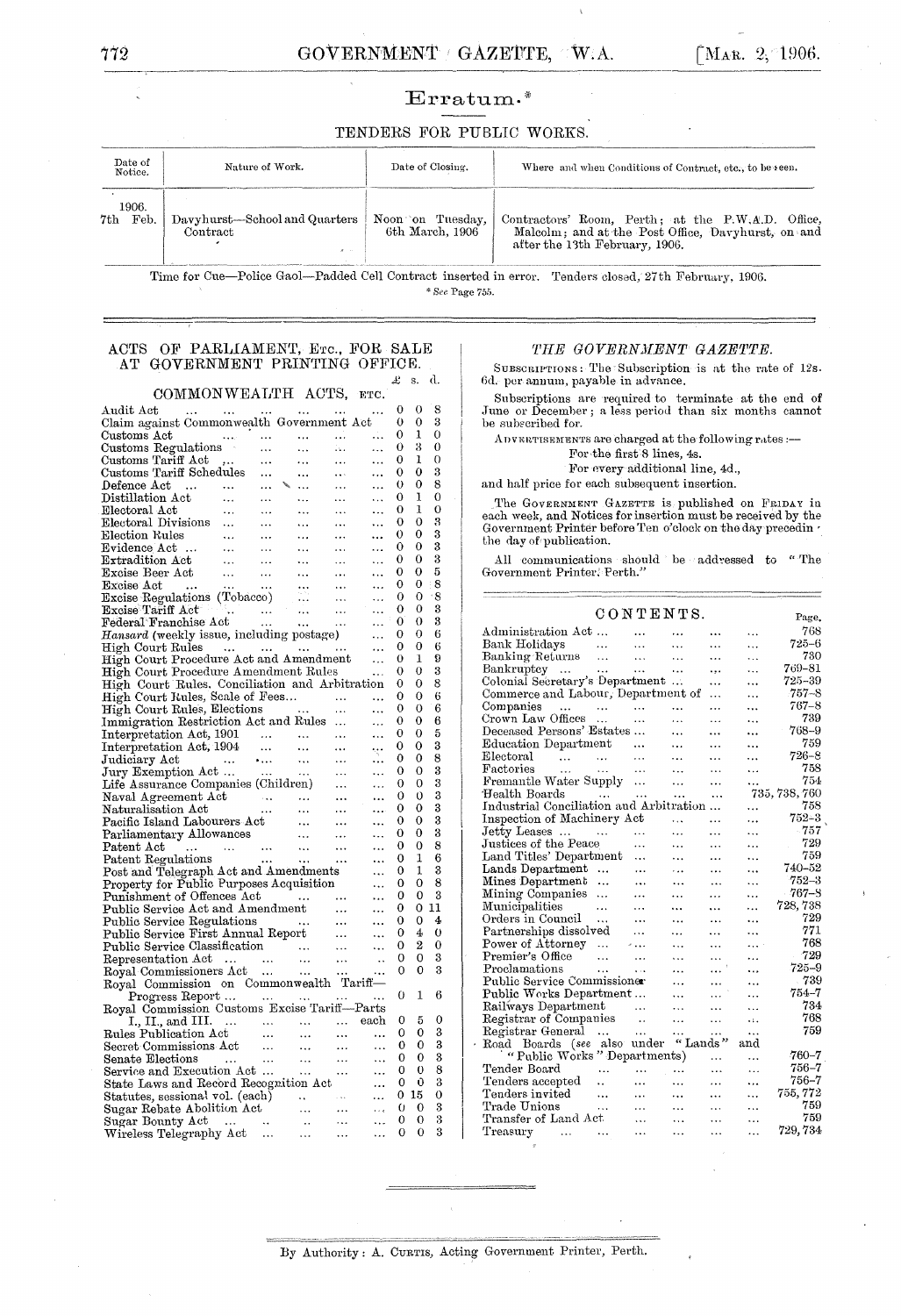Ξ

### $Erratum.*$

#### TENDERS FOR PUBLIC WORKS.

| Date of<br>Notice.   | Nature of Work.                           | Date of Closing.                    | Where and when Conditions of Contract, etc., to be seen.                                                                                    |
|----------------------|-------------------------------------------|-------------------------------------|---------------------------------------------------------------------------------------------------------------------------------------------|
| 1906.<br>7th<br>Feb. | Davyhurst—School and Quarters<br>Contract | Noon on Tuesday,<br>6th March, 1906 | Contractors' Room, Perth; at the $P.W.A.D.$ Office,<br>Malcolm; and at the Post Office. Davyhurst, on and<br>after the 13th February, 1906. |

Time for Cue-Police Gaol-Padded Cell Contract inserted in error. Tenders closed, 27th February, 1906. \* See Page 755.

#### ACTS OF PARLIAMENT, ETC., FOR SALE AT GOVERNMENT PRINTING OFFICE.  $\pounds$  s. d.

COMMONWEALTH ACTS, ETC.

| Audit Act<br>المحارب المحد                                                                                                                                                                                                                                                                                                                                                                                                                                                                                                                                                     | $\ldots$                                                                                                                                 | $\sim 100$                                                                                                                                                                                                                                                                                                                                                                                                                                                                                                                  | $\cdots$                    |                         | 0        | 0              | 8  |
|--------------------------------------------------------------------------------------------------------------------------------------------------------------------------------------------------------------------------------------------------------------------------------------------------------------------------------------------------------------------------------------------------------------------------------------------------------------------------------------------------------------------------------------------------------------------------------|------------------------------------------------------------------------------------------------------------------------------------------|-----------------------------------------------------------------------------------------------------------------------------------------------------------------------------------------------------------------------------------------------------------------------------------------------------------------------------------------------------------------------------------------------------------------------------------------------------------------------------------------------------------------------------|-----------------------------|-------------------------|----------|----------------|----|
| Claim against Commonwealth Government Act                                                                                                                                                                                                                                                                                                                                                                                                                                                                                                                                      |                                                                                                                                          |                                                                                                                                                                                                                                                                                                                                                                                                                                                                                                                             |                             |                         | 0        | 0              | 3  |
| $\rm Customs\ Act$                                                                                                                                                                                                                                                                                                                                                                                                                                                                                                                                                             | $\cdots$                                                                                                                                 | $\cdots$                                                                                                                                                                                                                                                                                                                                                                                                                                                                                                                    | $\cdots$                    | .                       | 0        | 1              | 0  |
| Customs Regulations                                                                                                                                                                                                                                                                                                                                                                                                                                                                                                                                                            | $\cdots$                                                                                                                                 | $\ldots$                                                                                                                                                                                                                                                                                                                                                                                                                                                                                                                    | 144                         | .                       | 0        | 3              | 0  |
| Customs Tariff Act<br>$\rightarrow$ .                                                                                                                                                                                                                                                                                                                                                                                                                                                                                                                                          | $\cdots$                                                                                                                                 | .                                                                                                                                                                                                                                                                                                                                                                                                                                                                                                                           |                             | .                       | 0        | 1              | 0  |
| Customs Tariff Schedules                                                                                                                                                                                                                                                                                                                                                                                                                                                                                                                                                       | $\ddotsc$                                                                                                                                |                                                                                                                                                                                                                                                                                                                                                                                                                                                                                                                             | .                           | .                       | 0        | 0              | 3  |
| Defence Act<br>$\sim$ 100 $\mu$                                                                                                                                                                                                                                                                                                                                                                                                                                                                                                                                                |                                                                                                                                          | $\ddotsc$                                                                                                                                                                                                                                                                                                                                                                                                                                                                                                                   | .                           | .                       | 0        | 0              | 8  |
| Distillation Act<br>$\ddotsc$                                                                                                                                                                                                                                                                                                                                                                                                                                                                                                                                                  |                                                                                                                                          |                                                                                                                                                                                                                                                                                                                                                                                                                                                                                                                             | $\ddotsc$                   | .                       | 0        | ı              | 0  |
| Electoral Act<br>$\ldots$                                                                                                                                                                                                                                                                                                                                                                                                                                                                                                                                                      | $\ddotsc$                                                                                                                                | $\ddotsc$                                                                                                                                                                                                                                                                                                                                                                                                                                                                                                                   | $\ddotsc$                   |                         | 0        | 1              | 0  |
| Electoral Divisions                                                                                                                                                                                                                                                                                                                                                                                                                                                                                                                                                            | $\ddotsc$                                                                                                                                | $\ddotsc$                                                                                                                                                                                                                                                                                                                                                                                                                                                                                                                   | $\ddotsc$                   |                         | 0        | 0              | 3  |
| Election Rules<br>$\begin{array}{c} \begin{array}{c} \begin{array}{c} \begin{array}{c} \begin{array}{c} \end{array} \\ \begin{array}{c} \end{array} \\ \begin{array}{c} \end{array} \\ \begin{array}{c} \end{array} \\ \begin{array}{c} \end{array} \\ \begin{array}{c} \end{array} \\ \begin{array}{c} \end{array} \\ \begin{array}{c} \end{array} \\ \begin{array}{c} \end{array} \\ \begin{array}{c} \end{array} \\ \begin{array}{c} \end{array} \\ \begin{array}{c} \end{array} \\ \begin{array}{c} \end{array} \\ \begin{array}{c} \end{array} \\ \begin{array}{c} \end{$ | $\ldots$                                                                                                                                 | $\ddotsc$                                                                                                                                                                                                                                                                                                                                                                                                                                                                                                                   |                             |                         | $\Omega$ | 0              | 3  |
|                                                                                                                                                                                                                                                                                                                                                                                                                                                                                                                                                                                | $\ddots$                                                                                                                                 | $\ddotsc$                                                                                                                                                                                                                                                                                                                                                                                                                                                                                                                   | $\ldots$                    |                         | 0        | 0              | 3  |
| Extradition Act                                                                                                                                                                                                                                                                                                                                                                                                                                                                                                                                                                | $\ldots$                                                                                                                                 | $\ldots$                                                                                                                                                                                                                                                                                                                                                                                                                                                                                                                    | $\cdots$                    | .                       | 0        | 0              | 3  |
| Excise Beer Act                                                                                                                                                                                                                                                                                                                                                                                                                                                                                                                                                                | $\ldots$                                                                                                                                 | $\sim$ $\sim$                                                                                                                                                                                                                                                                                                                                                                                                                                                                                                               | $\cdots$                    | $\ddotsc$               | 0        | 0              | 5  |
| Excise Act<br>$\sim$ 144<br>$\sim$ 1440                                                                                                                                                                                                                                                                                                                                                                                                                                                                                                                                        | $\sim$ $\sim$                                                                                                                            |                                                                                                                                                                                                                                                                                                                                                                                                                                                                                                                             |                             |                         | 0        | 0              | 8  |
| Excise Act<br>Excise Regulations (Tobacco)<br>Excise Tariff Act<br>Federal Franchise Act                                                                                                                                                                                                                                                                                                                                                                                                                                                                                       |                                                                                                                                          |                                                                                                                                                                                                                                                                                                                                                                                                                                                                                                                             |                             | $\ddotsc$               | 0        | 0              | 8  |
|                                                                                                                                                                                                                                                                                                                                                                                                                                                                                                                                                                                |                                                                                                                                          |                                                                                                                                                                                                                                                                                                                                                                                                                                                                                                                             |                             | $\ddotsc$               | 0        | 0              | 3  |
|                                                                                                                                                                                                                                                                                                                                                                                                                                                                                                                                                                                |                                                                                                                                          |                                                                                                                                                                                                                                                                                                                                                                                                                                                                                                                             |                             | $\ddotsc$               | 0        | 0              | 3  |
| Hansard (weekly issue, including postage)                                                                                                                                                                                                                                                                                                                                                                                                                                                                                                                                      |                                                                                                                                          |                                                                                                                                                                                                                                                                                                                                                                                                                                                                                                                             |                             |                         | 0        | 0              | 6  |
|                                                                                                                                                                                                                                                                                                                                                                                                                                                                                                                                                                                |                                                                                                                                          |                                                                                                                                                                                                                                                                                                                                                                                                                                                                                                                             |                             | .                       | 0        | 0              | 6  |
| High Court Rules<br>High Court Procedure Act and Amendment                                                                                                                                                                                                                                                                                                                                                                                                                                                                                                                     |                                                                                                                                          |                                                                                                                                                                                                                                                                                                                                                                                                                                                                                                                             |                             | $\ddotsc$               | 0        | 1              | 9  |
|                                                                                                                                                                                                                                                                                                                                                                                                                                                                                                                                                                                |                                                                                                                                          |                                                                                                                                                                                                                                                                                                                                                                                                                                                                                                                             |                             | $\ddotsc$               | 0        | 0              | 3  |
| High Court Procedure Amendment Rules                                                                                                                                                                                                                                                                                                                                                                                                                                                                                                                                           |                                                                                                                                          |                                                                                                                                                                                                                                                                                                                                                                                                                                                                                                                             |                             | $\ddotsc$               | 0        | 0              | 8  |
| High Court Rules, Conciliation and Arbitration                                                                                                                                                                                                                                                                                                                                                                                                                                                                                                                                 |                                                                                                                                          |                                                                                                                                                                                                                                                                                                                                                                                                                                                                                                                             |                             |                         |          |                |    |
| High Court Rules, Scale of Fees                                                                                                                                                                                                                                                                                                                                                                                                                                                                                                                                                |                                                                                                                                          | $\frac{1}{n}$                                                                                                                                                                                                                                                                                                                                                                                                                                                                                                               | $\sim$                      |                         | 0        | 0              | 6  |
| High Court Rules, Elections                                                                                                                                                                                                                                                                                                                                                                                                                                                                                                                                                    |                                                                                                                                          |                                                                                                                                                                                                                                                                                                                                                                                                                                                                                                                             | $\rightarrow$ $\rightarrow$ | .                       | 0        | 0              | 6  |
| Immigration Restriction Act and Rules                                                                                                                                                                                                                                                                                                                                                                                                                                                                                                                                          |                                                                                                                                          |                                                                                                                                                                                                                                                                                                                                                                                                                                                                                                                             |                             |                         | 0        | 0              | 6  |
|                                                                                                                                                                                                                                                                                                                                                                                                                                                                                                                                                                                |                                                                                                                                          |                                                                                                                                                                                                                                                                                                                                                                                                                                                                                                                             | $\ldots$                    |                         | 0        | 0              | 5  |
|                                                                                                                                                                                                                                                                                                                                                                                                                                                                                                                                                                                |                                                                                                                                          |                                                                                                                                                                                                                                                                                                                                                                                                                                                                                                                             | $\ddotsc$                   | ٠ę٠                     | 0        | $\Omega$       | 3  |
|                                                                                                                                                                                                                                                                                                                                                                                                                                                                                                                                                                                |                                                                                                                                          |                                                                                                                                                                                                                                                                                                                                                                                                                                                                                                                             | $\cdots$                    |                         | $\Omega$ | 0              | 8  |
| Interpretation Act, 1901<br>Interpretation Act, 1904<br>Judiciary Act<br>Jury Exemption Act<br>Life Assurance Composition<br>Jury Exemption Act<br>Life Assurance Companies (Children)<br>Naval Agreement Act                                                                                                                                                                                                                                                                                                                                                                  |                                                                                                                                          | $\frac{1}{\sqrt{2}}$ and $\frac{1}{\sqrt{2}}$                                                                                                                                                                                                                                                                                                                                                                                                                                                                               | $\ddotsc$                   | $\ddotsc$               | 0        | 0              | 3  |
|                                                                                                                                                                                                                                                                                                                                                                                                                                                                                                                                                                                |                                                                                                                                          |                                                                                                                                                                                                                                                                                                                                                                                                                                                                                                                             | $\ldots$                    | .                       | 0        | 0              | 3  |
| Naval Agreement Act                                                                                                                                                                                                                                                                                                                                                                                                                                                                                                                                                            | $\label{eq:1} \mathcal{L}=\mathcal{L}(\mathcal{L}^{\text{max}}_{\text{max}}) \otimes \mathcal{L}(\mathcal{L}^{\text{max}}_{\text{max}})$ |                                                                                                                                                                                                                                                                                                                                                                                                                                                                                                                             | $\ldots$                    | $\cdots$                | 0        | 0              | 3  |
| Naturalisation Act                                                                                                                                                                                                                                                                                                                                                                                                                                                                                                                                                             |                                                                                                                                          | $\sim$ $\sim$ $\sim$                                                                                                                                                                                                                                                                                                                                                                                                                                                                                                        | $\cdots$                    | $\ddotsc$               | 0        | 0              | 3  |
| Pacific Island Labourers Act                                                                                                                                                                                                                                                                                                                                                                                                                                                                                                                                                   |                                                                                                                                          | $\sim$ $\sim$ $\sim$                                                                                                                                                                                                                                                                                                                                                                                                                                                                                                        | $\cdots$                    | $\ddotsc$               | 0        | 0              | 3  |
| Parliamentary Allowances                                                                                                                                                                                                                                                                                                                                                                                                                                                                                                                                                       |                                                                                                                                          | $\alpha\alpha$ .                                                                                                                                                                                                                                                                                                                                                                                                                                                                                                            | $\ldots$                    |                         | 0        | 0              | 3  |
| Patent Act<br>$\sim 1.4$<br>$\sim$                                                                                                                                                                                                                                                                                                                                                                                                                                                                                                                                             | $\sim 1000$ km s $^{-1}$                                                                                                                 | $\begin{array}{c} \phantom{-}0 \\ \phantom{-}0 \\ \phantom{-}0 \\ \phantom{-}0 \\ \phantom{-}0 \\ \phantom{-}0 \\ \phantom{-}0 \\ \phantom{-}0 \\ \phantom{-}0 \\ \phantom{-}0 \\ \phantom{-}0 \\ \phantom{-}0 \\ \phantom{-}0 \\ \phantom{-}0 \\ \phantom{-}0 \\ \phantom{-}0 \\ \phantom{-}0 \\ \phantom{-}0 \\ \phantom{-}0 \\ \phantom{-}0 \\ \phantom{-}0 \\ \phantom{-}0 \\ \phantom{-}0 \\ \phantom{-}0 \\ \phantom{-}0 \\ \phantom{-}0 \\ \phantom{-}0 \\ \phantom{-}0 \\ \phantom{-}0 \\ \phantom{-}0 \\ \phantom$ | $\cdots$                    | .                       | 0        | $\overline{0}$ | 8  |
| Patent Regulations                                                                                                                                                                                                                                                                                                                                                                                                                                                                                                                                                             |                                                                                                                                          |                                                                                                                                                                                                                                                                                                                                                                                                                                                                                                                             | $\frac{1}{100}$             | $\ddotsc$               | 0        | 1              | 6  |
| Post and Telegraph Act and Amendments                                                                                                                                                                                                                                                                                                                                                                                                                                                                                                                                          |                                                                                                                                          |                                                                                                                                                                                                                                                                                                                                                                                                                                                                                                                             |                             | $\ddotsc$               | 0        | 1              | 3  |
| Property for Public Purposes Acquisition                                                                                                                                                                                                                                                                                                                                                                                                                                                                                                                                       |                                                                                                                                          |                                                                                                                                                                                                                                                                                                                                                                                                                                                                                                                             |                             | $\ddotsc$               | 0        | 0              | 8  |
| Punishment of Offences Act                                                                                                                                                                                                                                                                                                                                                                                                                                                                                                                                                     |                                                                                                                                          |                                                                                                                                                                                                                                                                                                                                                                                                                                                                                                                             |                             | $\ddotsc$               | 0        | 0              | 3  |
| Public Service Act and Amendment                                                                                                                                                                                                                                                                                                                                                                                                                                                                                                                                               |                                                                                                                                          | $\begin{array}{c}\n \\  \\  \n\end{array}$                                                                                                                                                                                                                                                                                                                                                                                                                                                                                  |                             |                         | 0        | 0              | 11 |
|                                                                                                                                                                                                                                                                                                                                                                                                                                                                                                                                                                                |                                                                                                                                          |                                                                                                                                                                                                                                                                                                                                                                                                                                                                                                                             |                             | $\ddotsc$               | 0        | 0              | 4  |
| Public Service Regulations<br>Public Service First Annual Report                                                                                                                                                                                                                                                                                                                                                                                                                                                                                                               |                                                                                                                                          |                                                                                                                                                                                                                                                                                                                                                                                                                                                                                                                             |                             | $\ddotsc$               | 0        | 4              | 0  |
| Public Service Classification<br>Representation Act<br>Royal Commissioners Act                                                                                                                                                                                                                                                                                                                                                                                                                                                                                                 |                                                                                                                                          |                                                                                                                                                                                                                                                                                                                                                                                                                                                                                                                             | $\sim$                      | $\ddotsc$               | 0        | $\overline{2}$ | 0  |
|                                                                                                                                                                                                                                                                                                                                                                                                                                                                                                                                                                                |                                                                                                                                          |                                                                                                                                                                                                                                                                                                                                                                                                                                                                                                                             | $\sim$ $\sim$               | $\ddotsc$               | 0        | 0              | 3  |
|                                                                                                                                                                                                                                                                                                                                                                                                                                                                                                                                                                                |                                                                                                                                          |                                                                                                                                                                                                                                                                                                                                                                                                                                                                                                                             | .                           |                         | 0        | 0              | 3  |
| Royal Commission on Commonwealth Tariff-                                                                                                                                                                                                                                                                                                                                                                                                                                                                                                                                       |                                                                                                                                          |                                                                                                                                                                                                                                                                                                                                                                                                                                                                                                                             |                             |                         |          |                |    |
| Progress Report                                                                                                                                                                                                                                                                                                                                                                                                                                                                                                                                                                |                                                                                                                                          | المتحدث المتحادث                                                                                                                                                                                                                                                                                                                                                                                                                                                                                                            |                             |                         | 0        | 1              | 6  |
| Royal Commission Customs Excise Tariff-Parts                                                                                                                                                                                                                                                                                                                                                                                                                                                                                                                                   |                                                                                                                                          |                                                                                                                                                                                                                                                                                                                                                                                                                                                                                                                             |                             |                         |          |                |    |
|                                                                                                                                                                                                                                                                                                                                                                                                                                                                                                                                                                                |                                                                                                                                          | $\mathbf{1}_{\mathbf{1}_{\mathbf{1}}\mathbf{1}_{\mathbf{2}}\mathbf{1}_{\mathbf{3}}\mathbf{1}_{\mathbf{4}}\mathbf{1}_{\mathbf{5}}$                                                                                                                                                                                                                                                                                                                                                                                           | $\ldots$ .                  | each                    | 0        | 5              | 0  |
|                                                                                                                                                                                                                                                                                                                                                                                                                                                                                                                                                                                |                                                                                                                                          | $\sim$ $\sim$                                                                                                                                                                                                                                                                                                                                                                                                                                                                                                               | $\ldots$                    | $\ddotsc$               | 0        | 0              | 3  |
| I., II., and III.<br>Rules Publication Act<br>Secret Commissions Act<br>Senate Elections                                                                                                                                                                                                                                                                                                                                                                                                                                                                                       |                                                                                                                                          | $\sim 100$                                                                                                                                                                                                                                                                                                                                                                                                                                                                                                                  | $\cdots$                    | $\ddotsc$               | 0        | 0              | 3  |
| Senate Elections                                                                                                                                                                                                                                                                                                                                                                                                                                                                                                                                                               |                                                                                                                                          | $\begin{array}{c}\n\cdots \\ \cdots \\ \cdots\n\end{array}$                                                                                                                                                                                                                                                                                                                                                                                                                                                                 |                             |                         | 0        | 0              | 3  |
| Service and Execution Act                                                                                                                                                                                                                                                                                                                                                                                                                                                                                                                                                      |                                                                                                                                          |                                                                                                                                                                                                                                                                                                                                                                                                                                                                                                                             | $\sim 10^{-1}$              | $\ldots$                | 0        | 0              | 8  |
| State Laws and Record Recognition Act                                                                                                                                                                                                                                                                                                                                                                                                                                                                                                                                          |                                                                                                                                          |                                                                                                                                                                                                                                                                                                                                                                                                                                                                                                                             | $\cdots$                    | $\ddotsc$               | 0        | Û              | 3  |
|                                                                                                                                                                                                                                                                                                                                                                                                                                                                                                                                                                                |                                                                                                                                          |                                                                                                                                                                                                                                                                                                                                                                                                                                                                                                                             |                             | $\ddotsc$               |          | 015            | 0  |
| Statutes, sessional vol. (each)                                                                                                                                                                                                                                                                                                                                                                                                                                                                                                                                                |                                                                                                                                          | $\sim 10$                                                                                                                                                                                                                                                                                                                                                                                                                                                                                                                   |                             | $\ddotsc$               | 0        | 0              | 3  |
| Sugar Rebate Abolition Act                                                                                                                                                                                                                                                                                                                                                                                                                                                                                                                                                     |                                                                                                                                          | $\ddotsc$                                                                                                                                                                                                                                                                                                                                                                                                                                                                                                                   | $\cdots$                    | $\epsilon$ . $\epsilon$ | 0        | $\Omega$       | 3  |
| Sugar Bounty Act<br>$\sim$ 100 $\pm$<br>Wireless Telecraphy Act                                                                                                                                                                                                                                                                                                                                                                                                                                                                                                                |                                                                                                                                          | $\ddot{\phantom{a}}$                                                                                                                                                                                                                                                                                                                                                                                                                                                                                                        | $\ddotsc$                   | $\ddotsc$               | $\Omega$ | - 0            | 3  |
|                                                                                                                                                                                                                                                                                                                                                                                                                                                                                                                                                                                | and the state of the state of                                                                                                            |                                                                                                                                                                                                                                                                                                                                                                                                                                                                                                                             |                             |                         |          |                |    |

#### THE GOVERNMENT GAZETTE.

SUBSCRIPTIONS: The Subscription is at the rate of 12s. 6d. per annum, payable in advance.

Subscriptions are required to terminate at the end of June or December; a less period than six months cannot be subscribed for.

ADVERTISEMENTS are charged at the following rates :--

For the first 8 lines, 4s.

For every additional line, 4d.,

and half price for each subsequent insertion.

The GOVERNMENT GAZETTE is published on FRIDAY in each week, and Notices for insertion must be received by the Government Printer before Ten o'clock on the day precedin the  $\,\mathrm{day}\, \mathrm{of}$  publication.

All communications should be addressed to "The Government Printer, Perth.'

#### CONTENTS.

| CONTENTS. |                                                    |                                   |                      |           |                      |              | Page.         |
|-----------|----------------------------------------------------|-----------------------------------|----------------------|-----------|----------------------|--------------|---------------|
|           | Administration Act                                 |                                   | $\ddotsc$            | .         | $\cdots$             | $\ddotsc$    | 768           |
|           | Bank Holidays<br>$\sim 10^{11}$ and $\sim 10^{11}$ |                                   | $\ddotsc$            | $\ddotsc$ | $\cdots$             | $\cdots$     | $725 - 6$     |
|           | Banking Returns                                    |                                   | $\sim$ . $\sim$      | $\ddotsc$ |                      | $\ddotsc$    | 730           |
|           | Bankruptcy                                         |                                   | $\ldots$             | $\ddotsc$ |                      | .            | 769-81        |
|           | Colonial Secretary's Department                    |                                   |                      |           | .                    |              | $725 - 39$    |
|           | Commerce and Labour, Department of                 |                                   |                      |           | .                    | .            | $757 - 8$     |
|           | Companies<br>$\cdots$                              | $\sim 100$ km s $^{-1}$<br>$\sim$ |                      | $\ddotsc$ | $\ddotsc$            |              | $767 - 8$     |
|           | Crown Law Offices                                  |                                   | .                    | $\ddotsc$ | $\cdots$             |              | 739           |
|           | Deceased Persons' Estates                          |                                   |                      | $\ddotsc$ | .                    |              | $768 - 9$     |
|           | Education Department                               |                                   | $\sim$               | $\ddotsc$ | $\ddotsc$            | $\ddotsc$    | 759           |
|           | Electoral<br>and the state                         |                                   | $\cdots$             | $\ddotsc$ | .                    |              | $726 - 8$     |
|           | Factories<br>$\sim$ 100 $\sim$                     | $\sim$                            | $\ddotsc$            | .         | .                    | .            | 758           |
|           | Fremantle Water Supply                             |                                   |                      | $\ddotsc$ | $\cdots$             | $\ddotsc$    | 754           |
|           | Health Boards                                      | $\sim 100$ km s $^{-1}$           | $\sim$               | $\ddotsc$ | $\ddotsc$            |              | 735, 738, 760 |
|           | Industrial Conciliation and Arbitration            |                                   |                      |           |                      | .            | 758           |
|           | Inspection of Machinery Act                        |                                   |                      | $\ddotsc$ | .                    | $\ddotsc$    | $752 - 3$     |
|           | Jetty Leases                                       |                                   | $\cdots$             |           | .                    |              | $-757$        |
|           | Justices of the Peace                              |                                   | 224                  | .         |                      | .            | 729           |
|           | Land Titles' Department                            |                                   | $\ddotsc$            | $\ddotsc$ | $\cdots$             | .            | 759           |
|           | Lands Department                                   |                                   |                      | $\ddotsc$ | $\ddotsc$            | $\ddotsc$    | 740-52        |
|           | Mines Department                                   |                                   |                      | $\ddotsc$ |                      | .            | $752 - 3$     |
|           | Mining Companies                                   |                                   | .                    | .         | .                    | .            | - 767–8       |
|           | Municipalities                                     | $\ldots$                          | $\cdots$             | $\ddotsc$ | $\ddotsc$            | .            | 728, 738      |
|           | Orders in Council                                  | $\ddotsc$                         | .                    |           | $\ddotsc$            | $\ddotsc$    | 729           |
|           | Partnerships dissolved                             |                                   | .                    | $\ddotsc$ | $\cdots$             |              | 771           |
|           | Power of Attorney                                  |                                   | معدد                 | .         | $\ddotsc$            | $\cdots$     | 768           |
|           | Premier's Office                                   | $\ddotsc$                         | $\ddotsc$            | $\ddotsc$ | .                    | .            | 729           |
|           | Proclamations                                      | $\ldots$                          | $\ddot{\phantom{a}}$ | .         | i.                   | $\ddotsc$    | $725 - 9$     |
|           | Public Service Commissioner                        |                                   |                      | .         | $\ddot{\phantom{a}}$ | .            | 739           |
|           | Public Works Department                            |                                   |                      |           | $\ddotsc$            |              | $754 - 7$     |
|           | Railways Department                                |                                   | $\ddotsc$            | .         | $\ddotsc$            | .            | 734           |
|           | Registrar of Companies                             |                                   | $\ddots$             | $\ddotsc$ | $\cdots$             | $\ddotsc$    | 768           |
|           | Registrar General                                  | <b>Sales Control</b>              | $\ldots$             | .         | $\cdots$             | .            | 759           |
|           | Road Boards (see also under                        |                                   |                      | "Lands"   |                      | $_{\rm and}$ |               |
|           | "Public Works" Departments)                        |                                   |                      |           | $\cdots$             | $\ddotsc$    | $760 - 7$     |
|           | Tender Board                                       |                                   | $\ddotsc$            | $\ddotsc$ | $\ddotsc$            | $\ddotsc$    | $756 - 7$     |
|           | Tenders accepted                                   | $\ddot{\phantom{a}}$              | $\ddotsc$            | .         | .                    | $\ddotsc$    | $756 - 7$     |
|           | Tenders invited                                    | $\sim$ 144                        | $\ddotsc$            |           | $\cdots$             | .            | 755, 772      |
|           | Trade Unions                                       | $\cdots$                          | .                    | .         | .                    | .            | 759           |
|           | Transfer of Land Act                               |                                   | $\ddotsc$            | $\ddotsc$ |                      | .            | 759           |
|           | Treasury<br><b>Contract Contract</b>               |                                   | $\cdots$             | $\ddotsc$ | .                    |              | 729,734       |
|           |                                                    |                                   |                      |           |                      |              |               |

772

By Authority: A. CURTIS, Acting Government Printer, Perth.